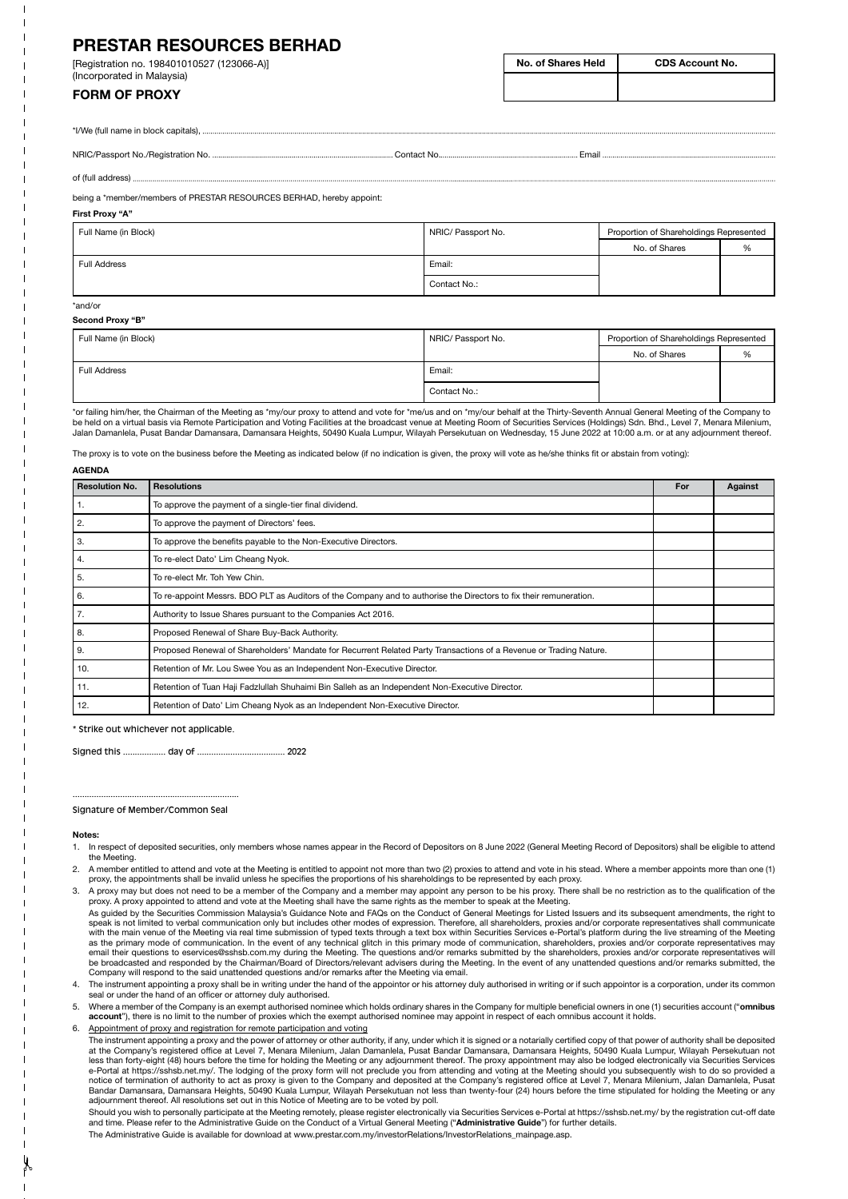# **PRESTAR RESOURCES BERHAD**

[Registration no. 198401010527 (123066-A)] (Incorporated in Malaysia)

# **FORM OF PROXY**

\*I/We (full name in block capitals),

NRIC/Passport No./Registration No. Contact No. Email

of (full address)

being a \*member/members of PRESTAR RESOURCES BERHAD, hereby appoint:

#### **First Proxy "A"**

| Full Name (in Block) | NRIC/ Passport No. | Proportion of Shareholdings Represented |   |
|----------------------|--------------------|-----------------------------------------|---|
|                      |                    | No. of Shares                           | % |
| Full Address         | Email:             |                                         |   |
|                      | Contact No.:       |                                         |   |

## \*and/or

| Second Proxy "B" |  |
|------------------|--|
|                  |  |

| Full Name (in Block) | NRIC/ Passport No. | Proportion of Shareholdings Represented |   |
|----------------------|--------------------|-----------------------------------------|---|
|                      |                    | No. of Shares                           | % |
| Full Address         | Email:             |                                         |   |
|                      | Contact No.:       |                                         |   |

\*or failing him/her, the Chairman of the Meeting as \*my/our proxy to attend and vote for \*me/us and on \*my/our behalf at the Thirty-Seventh Annual General Meeting of the Company to be held on a virtual basis via Remote Participation and Voting Facilities at the broadcast venue at Meeting Room of Securities Services (Holdings) Sdn. Bhd., Level 7, Menara Milenium,<br>Jalan Damanlela, Pusat Bandar Damansar

The proxy is to vote on the business before the Meeting as indicated below (if no indication is given, the proxy will vote as he/she thinks fit or abstain from voting):

| <b>AGENDA</b>         |                                                                                                                    |     |         |  |  |  |
|-----------------------|--------------------------------------------------------------------------------------------------------------------|-----|---------|--|--|--|
| <b>Resolution No.</b> | <b>Resolutions</b>                                                                                                 | For | Against |  |  |  |
| -1.                   | To approve the payment of a single-tier final dividend.                                                            |     |         |  |  |  |
| 2.                    | To approve the payment of Directors' fees.                                                                         |     |         |  |  |  |
| 3.                    | To approve the benefits payable to the Non-Executive Directors.                                                    |     |         |  |  |  |
| 4.                    | To re-elect Dato' Lim Cheang Nyok.                                                                                 |     |         |  |  |  |
| 5.                    | To re-elect Mr. Toh Yew Chin.                                                                                      |     |         |  |  |  |
| 6.                    | To re-appoint Messrs. BDO PLT as Auditors of the Company and to authorise the Directors to fix their remuneration. |     |         |  |  |  |
| $\overline{7}$ .      | Authority to Issue Shares pursuant to the Companies Act 2016.                                                      |     |         |  |  |  |
| 8.                    | Proposed Renewal of Share Buy-Back Authority.                                                                      |     |         |  |  |  |
| 9.                    | Proposed Renewal of Shareholders' Mandate for Recurrent Related Party Transactions of a Revenue or Trading Nature. |     |         |  |  |  |
| 10.                   | Retention of Mr. Lou Swee You as an Independent Non-Executive Director.                                            |     |         |  |  |  |
| 11.                   | Retention of Tuan Haji Fadzlullah Shuhaimi Bin Salleh as an Independent Non-Executive Director.                    |     |         |  |  |  |
| 12.                   | Retention of Dato' Lim Cheang Nyok as an Independent Non-Executive Director.                                       |     |         |  |  |  |

\* Strike out whichever not applicable.

Signed this .................. day of ..................................... 2022

......................................................................

#### Signature of Member/Common Seal

### **Notes:**

- 1. In respect of deposited securities, only members whose names appear in the Record of Depositors on 8 June 2022 (General Meeting Record of Depositors) shall be eligible to attend the Meeting.
- 2. A member entitled to attend and vote at the Meeting is entitled to appoint not more than two (2) proxies to attend and vote in his stead. Where a member appoints more than one (1)<br>proxy, the appointments shall be invali

3. A proxy may but does not need to be a member of the Company and a member may appoint any person to be his proxy. There shall be no restriction as to the qualification of the proxy. A proxy appointed to attend and vote at the Meeting shall have the same rights as the member to speak at the Meeting.

- As guided by the Securities Commission Malaysia's Guidance Note and FAQs on the Conduct of General Meetings for Listed Issuers and its subsequent amendments, the right to speak is not limited to verbal communication only but includes other modes of expression. Therefore, all shareholders, proxies and/or corporate representatives shall communicate with the main venue of the Meeting via real time submission of typed texts through a text box within Securities Services e-Portal's platform during the live streaming of the Meeting<br>as the primary mode of communication. In Company will respond to the said unattended questions and/or remarks after the Meeting via email.
- 4. The instrument appointing a proxy shall be in writing under the hand of the appointor or his attorney duly authorised in writing or if such appointor is a corporation, under its common seal or under the hand of an officer or attorney duly authorised.

5. Where a member of the Company is an exempt authorised nominee which holds ordinary shares in the Company for multiple beneficial owners in one (1) securities account ("**omnibus account**"), there is no limit to the number of proxies which the exempt authorised nominee may appoint in respect of each omnibus account it holds.

6. Appointment of proxy and registration for remote participation and voting

Should you wish to personally participate at the Meeting remotely, please register electronically via Securities Services e-Portal at https://sshsb.net.my/ by the registration cut-off date and time. Please refer to the Administrative Guide on the Conduct of a Virtual General Meeting ("**Administrative Guide**") for further details. The Administrative Guide is available for download at www.prestar.com.my/investorRelations/InvestorRelations\_mainpage.asp.

The instrument appointing a proxy and the power of attorney or other authority, if any, under which it is signed or a notarially certified copy of that power of authority shall be deposited<br>at the Company's registered offi e-Portal at https://sshsb.net.my/. The lodging of the proxy form will not preclude you from attending and voting at the Meeting should you subsequently wish to do so provided a<br>notice of termination of authority to act as adjournment thereof. All resolutions set out in this Notice of Meeting are to be voted by poll.